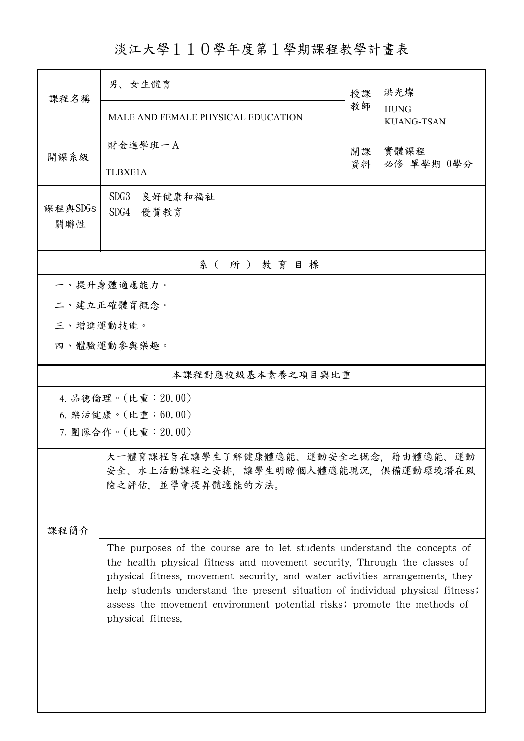淡江大學110學年度第1學期課程教學計畫表

| 課程名稱               | 男、女生體育                                                                                                                                                                                                                                                                                                                                      | 授課   | 洪光燦<br><b>HUNG</b><br><b>KUANG-TSAN</b> |  |  |
|--------------------|---------------------------------------------------------------------------------------------------------------------------------------------------------------------------------------------------------------------------------------------------------------------------------------------------------------------------------------------|------|-----------------------------------------|--|--|
|                    | MALE AND FEMALE PHYSICAL EDUCATION                                                                                                                                                                                                                                                                                                          | 教師   |                                         |  |  |
| 開課系級               | 財金進學班一A                                                                                                                                                                                                                                                                                                                                     | 實體課程 |                                         |  |  |
|                    | <b>TLBXE1A</b>                                                                                                                                                                                                                                                                                                                              | 資料   | 必修 單學期 0學分                              |  |  |
| 課程與SDGs<br>關聯性     | SDG3<br>良好健康和福祉<br>SDG4 優質教育                                                                                                                                                                                                                                                                                                                |      |                                         |  |  |
| 系(所)教育目標           |                                                                                                                                                                                                                                                                                                                                             |      |                                         |  |  |
|                    | 一、提升身體適應能力。                                                                                                                                                                                                                                                                                                                                 |      |                                         |  |  |
|                    | 二、建立正確體育概念。                                                                                                                                                                                                                                                                                                                                 |      |                                         |  |  |
| 三、增進運動技能。          |                                                                                                                                                                                                                                                                                                                                             |      |                                         |  |  |
| 四、體驗運動參與樂趣。        |                                                                                                                                                                                                                                                                                                                                             |      |                                         |  |  |
| 本課程對應校級基本素養之項目與比重  |                                                                                                                                                                                                                                                                                                                                             |      |                                         |  |  |
|                    | 4. 品德倫理。(比重: 20.00)                                                                                                                                                                                                                                                                                                                         |      |                                         |  |  |
| 6. 樂活健康。(比重:60.00) |                                                                                                                                                                                                                                                                                                                                             |      |                                         |  |  |
|                    | 7. 團隊合作。(比重:20.00)                                                                                                                                                                                                                                                                                                                          |      |                                         |  |  |
| 課程簡介               | 大一體育課程旨在讓學生了解健康體適能、運動安全之概念,藉由體適能、運動<br>安全、水上活動課程之安排,讓學生明瞭個人體適能現況,俱備運動環境潛在風<br>險之評估、並學會提昇體適能的方法。                                                                                                                                                                                                                                             |      |                                         |  |  |
|                    | The purposes of the course are to let students understand the concepts of                                                                                                                                                                                                                                                                   |      |                                         |  |  |
|                    | the health physical fitness and movement security. Through the classes of<br>physical fitness, movement security, and water activities arrangements, they<br>help students understand the present situation of individual physical fitness;<br>assess the movement environment potential risks; promote the methods of<br>physical fitness. |      |                                         |  |  |
|                    |                                                                                                                                                                                                                                                                                                                                             |      |                                         |  |  |
|                    |                                                                                                                                                                                                                                                                                                                                             |      |                                         |  |  |
|                    |                                                                                                                                                                                                                                                                                                                                             |      |                                         |  |  |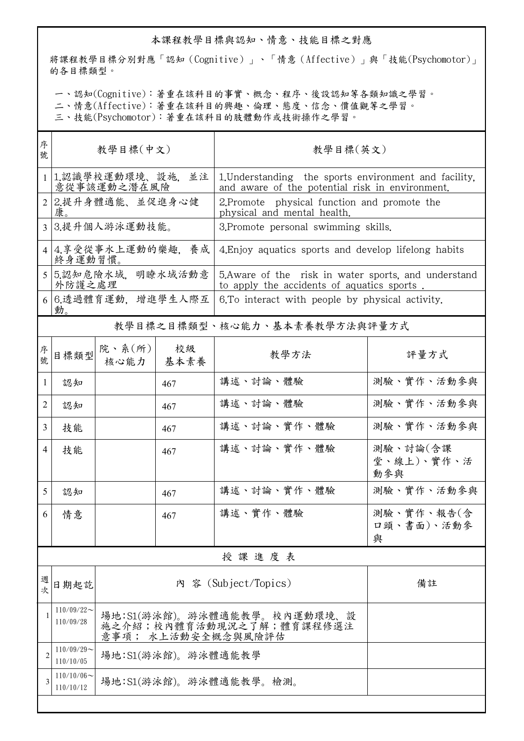## 本課程教學目標與認知、情意、技能目標之對應

將課程教學目標分別對應「認知(Cognitive)」、「情意(Affective)」與「技能(Psychomotor)」 的各目標類型。

一、認知(Cognitive):著重在該科目的事實、概念、程序、後設認知等各類知識之學習。

二、情意(Affective):著重在該科目的興趣、倫理、態度、信念、價值觀等之學習。

三、技能(Psychomotor):著重在該科目的肢體動作或技術操作之學習。

| 序<br>教學目標(中文)<br>號                      |                                                                               |            | 教學目標(英文)                                                                                                 |                                                     |  |
|-----------------------------------------|-------------------------------------------------------------------------------|------------|----------------------------------------------------------------------------------------------------------|-----------------------------------------------------|--|
| 1.認識學校運動環境、設施, 並注<br>意從事該運動之潛在風險        |                                                                               |            | 1. Understanding the sports environment and facility,<br>and aware of the potential risk in environment. |                                                     |  |
| 2.提升身體適能、並促進身心健<br>$\overline{2}$<br>康。 |                                                                               |            | 2. Promote physical function and promote the                                                             |                                                     |  |
| 3.提升個人游泳運動技能。<br>3                      |                                                                               |            | 3. Promote personal swimming skills.                                                                     |                                                     |  |
| 4.享受從事水上運動的樂趣,養成<br>$\overline{4}$      |                                                                               |            | 4. Enjoy aquatics sports and develop lifelong habits                                                     |                                                     |  |
| 5.認知危險水域, 明瞭水域活動意<br>外防護之處理             |                                                                               |            | 5. Aware of the risk in water sports, and understand<br>to apply the accidents of aquatics sports.       |                                                     |  |
| 6.透過體育運動, 增進學生人際互<br>動。                 |                                                                               |            | 6.To interact with people by physical activity.                                                          |                                                     |  |
| 教學目標之目標類型、核心能力、基本素養教學方法與評量方式            |                                                                               |            |                                                                                                          |                                                     |  |
| 目標類型                                    | 核心能力                                                                          | 校級<br>基本素養 | 教學方法                                                                                                     | 評量方式                                                |  |
| 認知                                      |                                                                               | 467        | 講述、討論、體驗                                                                                                 | 測驗、實作、活動參與                                          |  |
| 認知                                      |                                                                               | 467        | 講述、討論、體驗                                                                                                 | 測驗、實作、活動參與                                          |  |
| 技能                                      |                                                                               | 467        | 講述、討論、實作、體驗                                                                                              | 測驗、實作、活動參與                                          |  |
| 技能                                      |                                                                               | 467        | 講述、討論、實作、體驗                                                                                              | 測驗、討論(含課<br>堂、線上)、實作、活<br>動參與                       |  |
| 認知                                      |                                                                               | 467        | 講述、討論、實作、體驗                                                                                              | 測驗、實作、活動參與                                          |  |
| 情意                                      |                                                                               | 467        | 講述、實作、體驗                                                                                                 | 測驗、實作、報告(含<br>口頭、書面)、活動參<br>與                       |  |
| 授課進度表                                   |                                                                               |            |                                                                                                          |                                                     |  |
| 日期起訖                                    |                                                                               |            |                                                                                                          | 備註                                                  |  |
| $110/09/22$ ~<br>110/09/28              | 場地:S1(游泳館)。游泳體適能教學。校內運動環境、設<br>施之介紹;校內體育活動現況之了解;體育課程修選注<br>意事項; 水上活動安全概念與風險評估 |            |                                                                                                          |                                                     |  |
| $110/09/29$ ~<br>110/10/05              | 場地:S1(游泳館)。游泳體適能教學                                                            |            |                                                                                                          |                                                     |  |
| $110/10/06 \sim$<br>110/10/12           | 場地:S1(游泳館)。游泳體適能教學。檢測。                                                        |            |                                                                                                          |                                                     |  |
|                                         |                                                                               | 終身運動習慣。    | 院、系(所)                                                                                                   | physical and mental health.<br>內 容 (Subject/Topics) |  |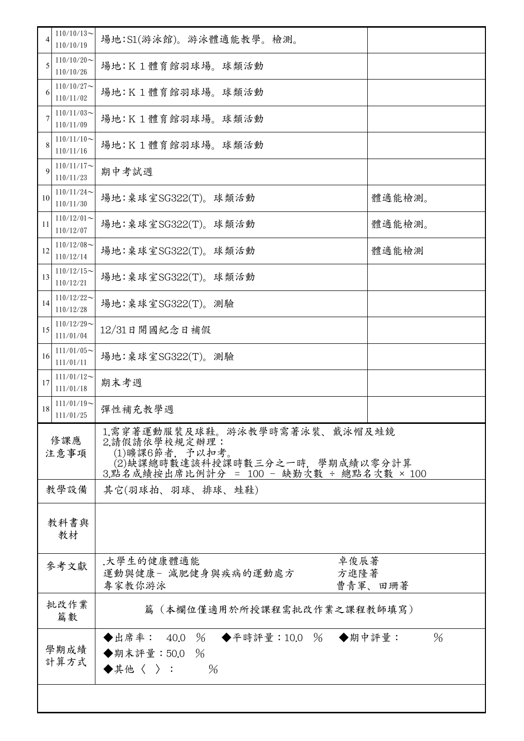| $110/10/13$ ~<br>4<br>110/10/19  | 場地:S1(游泳館)。游泳體適能教學。檢測。                                                                                                                          |        |  |  |
|----------------------------------|-------------------------------------------------------------------------------------------------------------------------------------------------|--------|--|--|
| $110/10/20$ ~<br>5<br>110/10/26  | 場地:K1體育館羽球場。球類活動                                                                                                                                |        |  |  |
| $110/10/27$ ~<br>6<br>110/11/02  | 場地:K1體育館羽球場。球類活動                                                                                                                                |        |  |  |
| $110/11/03$ ~<br>7<br>110/11/09  | 場地:K1體育館羽球場。球類活動                                                                                                                                |        |  |  |
| $110/11/10$ ~<br>8<br>110/11/16  | 場地:K1體育館羽球場。球類活動                                                                                                                                |        |  |  |
| $110/11/17$ ~<br>9<br>110/11/23  | 期中考試週                                                                                                                                           |        |  |  |
| $110/11/24$ ~<br>10<br>110/11/30 | 場地:桌球室SG322(T)。球類活動                                                                                                                             | 體適能檢測。 |  |  |
| $110/12/01$ ~<br>11<br>110/12/07 | 場地:桌球室SG322(T)。球類活動                                                                                                                             | 體適能檢測。 |  |  |
| $110/12/08$ ~<br>12<br>110/12/14 | 場地:桌球室SG322(T)。球類活動                                                                                                                             | 體適能檢測  |  |  |
| $110/12/15$ ~<br>13<br>110/12/21 | 場地:桌球室SG322(T)。球類活動                                                                                                                             |        |  |  |
| $110/12/22$ ~<br>14<br>110/12/28 | 場地:桌球室SG322(T)。測驗                                                                                                                               |        |  |  |
| $110/12/29$ ~<br>15<br>111/01/04 | 12/31日開國紀念日補假                                                                                                                                   |        |  |  |
| $111/01/05$ ~<br>16<br>111/01/11 | 場地:桌球室SG322(T)。測驗                                                                                                                               |        |  |  |
| $111/01/12$ ~<br>17<br>111/01/18 | 期末考週                                                                                                                                            |        |  |  |
| $111/01/19$ ~<br>18<br>111/01/25 | 彈性補充教學週                                                                                                                                         |        |  |  |
| 修課應<br>注意事項                      | 1.需穿著運動服裝及球鞋。游泳教學時需著泳裝、戴泳帽及蛙鏡<br>2.請假請依學校規定辦理:<br>(1)曠課6節者, 予以扣考。<br>(2)缺課總時數達該科授課時數三分之一時,學期成績以零分計算<br>3.點名成績按出席比例計分 = 100 - 缺勤次數 ÷ 總點名次數 × 100 |        |  |  |
| 教學設備                             | 其它(羽球拍、羽球、排球、蛙鞋)                                                                                                                                |        |  |  |
| 教科書與<br>教材                       |                                                                                                                                                 |        |  |  |
| 參考文獻                             | 卓俊辰著<br>.大學生的健康體適能<br>運動與健康- 減肥健身與疾病的運動處方<br>方進隆著<br>曹青軍、田珊著<br>專家教你游泳                                                                          |        |  |  |
| 批改作業<br>篇數                       | 篇(本欄位僅適用於所授課程需批改作業之課程教師填寫)                                                                                                                      |        |  |  |
| 學期成績<br>計算方式                     | ◆出席率: 40.0 % ◆平時評量:10.0 % ◆期中評量:<br>◆期末評量:50.0 %<br>$\frac{0}{6}$<br>$\blacklozenge$ 其他〈 〉 :                                                    | $\%$   |  |  |
|                                  |                                                                                                                                                 |        |  |  |